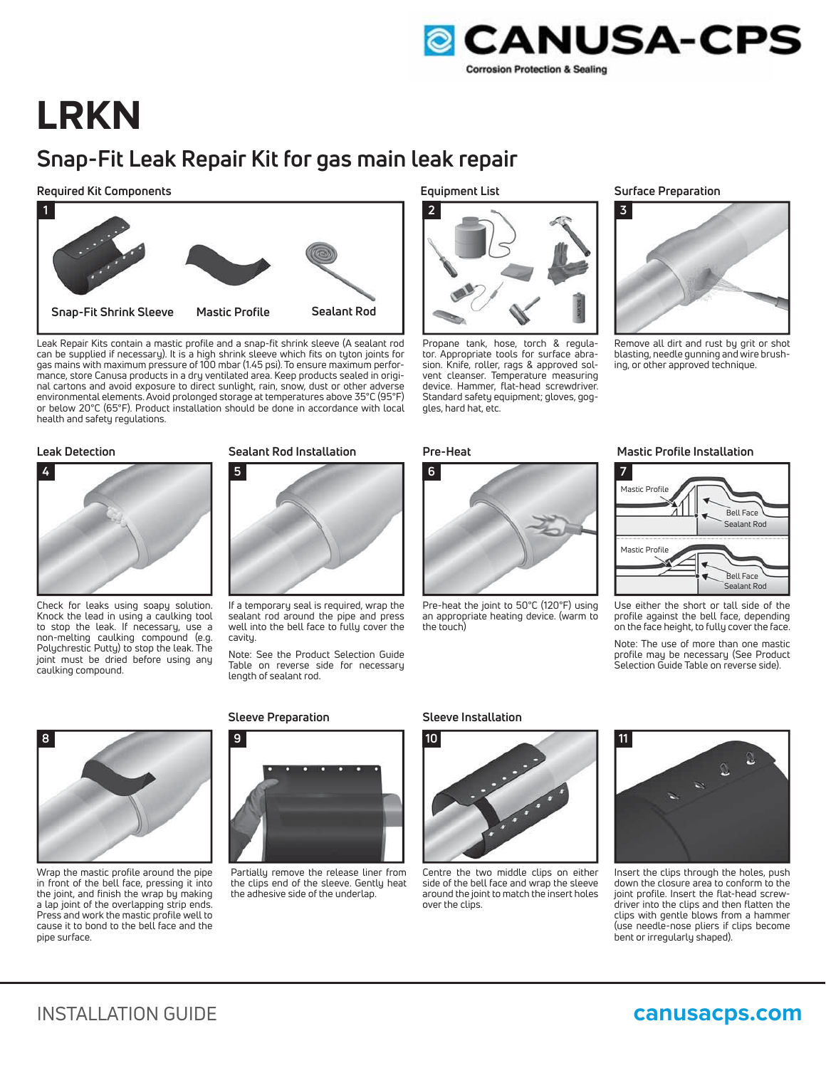

# **LRKN**

## **Snap-Fit Leak Repair Kit for gas main leak repair**

### **Required Kit Components**



Leak Repair Kits contain a mastic profile and a snap-fit shrink sleeve (A sealant rod can be supplied if necessary). It is a high shrink sleeve which fits on tyton joints for gas mains with maximum pressure of 100 mbar (1.45 psi). To ensure maximum performance, store Canusa products in a dry ventilated area. Keep products sealed in original cartons and avoid exposure to direct sunlight, rain, snow, dust or other adverse environmental elements. Avoid prolonged storage at temperatures above 35°C (95°F) or below 20°C (65°F). Product installation should be done in accordance with local health and safety regulations.

### **Leak Detection**



Check for leaks using soapy solution. Knock the lead in using a caulking tool to stop the leak. If necessary, use a non-melting caulking compound (e.g. Polychrestic Putty) to stop the leak. The joint must be dried before using any caulking compound.



If a temporary seal is required, wrap the sealant rod around the pipe and press well into the bell face to fully cover the cavity.

Note: See the Product Selection Guide Table on reverse side for necessary length of sealant rod.



Wrap the mastic profile around the pipe in front of the bell face, pressing it into the joint, and finish the wrap by making a lap joint of the overlapping strip ends. Press and work the mastic profile well to cause it to bond to the bell face and the pipe surface.

### **Sleeve Preparation Sleeve Installation**



Partially remove the release liner from the clips end of the sleeve. Gently heat the adhesive side of the underlap.

**Equipment List**



Propane tank, hose, torch & regulator. Appropriate tools for surface abrasion. Knife, roller, rags & approved solvent cleanser. Temperature measuring device. Hammer, flat-head screwdriver. Standard safety equipment; gloves, goggles, hard hat, etc.



Pre-heat the joint to 50°C (120°F) using an appropriate heating device. (warm to the touch)

### **Surface Preparation**



Remove all dirt and rust by grit or shot blasting, needle gunning and wire brushing, or other approved technique.

### **Sealant Rod Installation Figure 2 A Pre-Heat Mastic Profile Installation**



Use either the short or tall side of the profile against the bell face, depending on the face height, to fully cover the face.

Note: The use of more than one mastic profile may be necessary (See Product Selection Guide Table on reverse side).



Centre the two middle clips on either side of the bell face and wrap the sleeve around the joint to match the insert holes over the clips.



Insert the clips through the holes, push down the closure area to conform to the joint profile. Insert the flat-head screwdriver into the clips and then flatten the clips with gentle blows from a hammer (use needle-nose pliers if clips become bent or irregularly shaped).